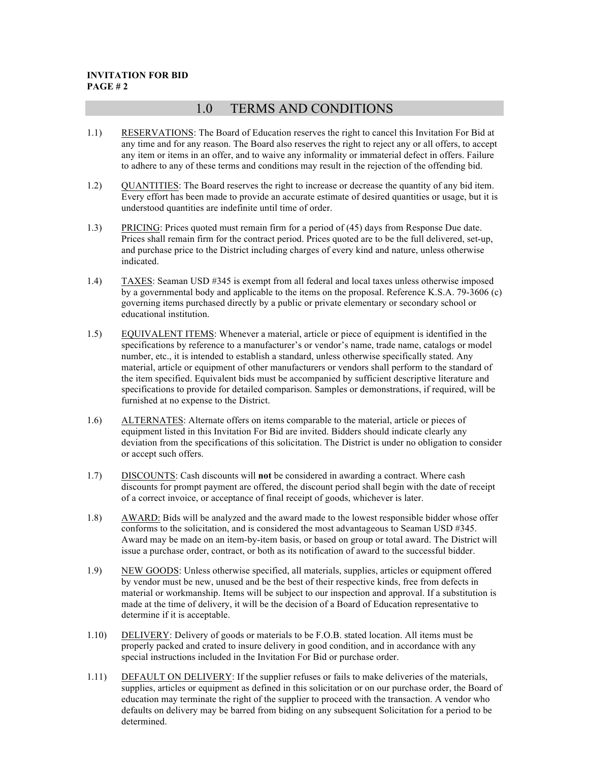## **INVITATION FOR BID PAGE # 2**

## 1.0 TERMS AND CONDITIONS

- 1.1) RESERVATIONS: The Board of Education reserves the right to cancel this Invitation For Bid at any time and for any reason. The Board also reserves the right to reject any or all offers, to accept any item or items in an offer, and to waive any informality or immaterial defect in offers. Failure to adhere to any of these terms and conditions may result in the rejection of the offending bid.
- 1.2) QUANTITIES: The Board reserves the right to increase or decrease the quantity of any bid item. Every effort has been made to provide an accurate estimate of desired quantities or usage, but it is understood quantities are indefinite until time of order.
- 1.3) PRICING: Prices quoted must remain firm for a period of (45) days from Response Due date. Prices shall remain firm for the contract period. Prices quoted are to be the full delivered, set-up, and purchase price to the District including charges of every kind and nature, unless otherwise indicated.
- 1.4) TAXES: Seaman USD #345 is exempt from all federal and local taxes unless otherwise imposed by a governmental body and applicable to the items on the proposal. Reference K.S.A. 79-3606 (c) governing items purchased directly by a public or private elementary or secondary school or educational institution.
- 1.5) EQUIVALENT ITEMS: Whenever a material, article or piece of equipment is identified in the specifications by reference to a manufacturer's or vendor's name, trade name, catalogs or model number, etc., it is intended to establish a standard, unless otherwise specifically stated. Any material, article or equipment of other manufacturers or vendors shall perform to the standard of the item specified. Equivalent bids must be accompanied by sufficient descriptive literature and specifications to provide for detailed comparison. Samples or demonstrations, if required, will be furnished at no expense to the District.
- 1.6) ALTERNATES: Alternate offers on items comparable to the material, article or pieces of equipment listed in this Invitation For Bid are invited. Bidders should indicate clearly any deviation from the specifications of this solicitation. The District is under no obligation to consider or accept such offers.
- 1.7) DISCOUNTS: Cash discounts will **not** be considered in awarding a contract. Where cash discounts for prompt payment are offered, the discount period shall begin with the date of receipt of a correct invoice, or acceptance of final receipt of goods, whichever is later.
- 1.8) AWARD: Bids will be analyzed and the award made to the lowest responsible bidder whose offer conforms to the solicitation, and is considered the most advantageous to Seaman USD #345. Award may be made on an item-by-item basis, or based on group or total award. The District will issue a purchase order, contract, or both as its notification of award to the successful bidder.
- 1.9) NEW GOODS: Unless otherwise specified, all materials, supplies, articles or equipment offered by vendor must be new, unused and be the best of their respective kinds, free from defects in material or workmanship. Items will be subject to our inspection and approval. If a substitution is made at the time of delivery, it will be the decision of a Board of Education representative to determine if it is acceptable.
- 1.10) DELIVERY: Delivery of goods or materials to be F.O.B. stated location. All items must be properly packed and crated to insure delivery in good condition, and in accordance with any special instructions included in the Invitation For Bid or purchase order.
- 1.11) DEFAULT ON DELIVERY: If the supplier refuses or fails to make deliveries of the materials, supplies, articles or equipment as defined in this solicitation or on our purchase order, the Board of education may terminate the right of the supplier to proceed with the transaction. A vendor who defaults on delivery may be barred from biding on any subsequent Solicitation for a period to be determined.